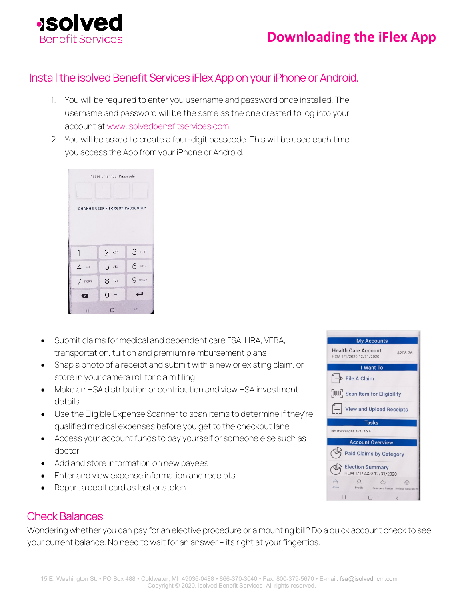

# **Downloading the iFlex App**

### Install the isolved Benefit Services iFlex App on your iPhone or Android.

- 1. You will be required to enter you username and password once installed. The username and password will be the same as the one created to log into your account at [www.isolvedbenefitservices.com.](http://www.isolvedbenefitservices.com/)
- 2. You will be asked to create a four-digit passcode. This will be used each time you access the App from your iPhone or Android.

| Please Enter Your Passcode     |            |        |
|--------------------------------|------------|--------|
|                                |            |        |
| CHANGE USER / FORGOT PASSCODE? |            |        |
|                                |            |        |
|                                |            |        |
| 1                              | $2$ ABC    | 3.0005 |
| $4$ GHI                        | 5 JKL      | 6 MNO  |
| 7 PQRS                         | 8 TUV      | 9 wxyz |
| ×                              | $() +$     |        |
| $\mathbf{III}$                 | $\bigcirc$ |        |

- Submit claims for medical and dependent care FSA, HRA, VEBA, transportation, tuition and premium reimbursement plans
- Snap a photo of a receipt and submit with a new or existing claim, or store in your camera roll for claim filing
- Make an HSA distribution or contribution and view HSA investment details
- Use the Eligible Expense Scanner to scan items to determine if they're qualified medical expenses before you get to the checkout lane
- Access your account funds to pay yourself or someone else such as doctor
- Add and store information on new payees
- Enter and view expense information and receipts
- Report a debit card as lost or stolen

## Check Balances

Wondering whether you can pay for an elective procedure or a mounting bill? Do a quick account check to see your current balance. No need to wait for an answer – its right at your fingertips.